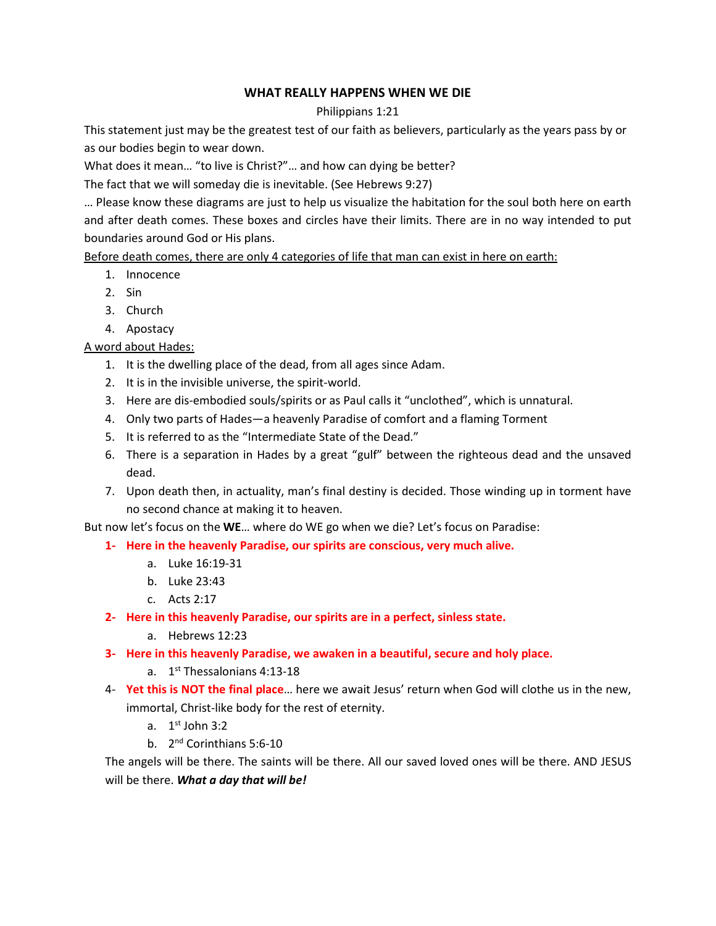## **WHAT REALLY HAPPENS WHEN WE DIE**

## Philippians 1:21

This statement just may be the greatest test of our faith as believers, particularly as the years pass by or as our bodies begin to wear down.

What does it mean… "to live is Christ?"… and how can dying be better?

The fact that we will someday die is inevitable. (See Hebrews 9:27)

… Please know these diagrams are just to help us visualize the habitation for the soul both here on earth and after death comes. These boxes and circles have their limits. There are in no way intended to put boundaries around God or His plans.

Before death comes, there are only 4 categories of life that man can exist in here on earth:

- 1. Innocence
- 2. Sin
- 3. Church
- 4. Apostacy

A word about Hades:

- 1. It is the dwelling place of the dead, from all ages since Adam.
- 2. It is in the invisible universe, the spirit-world.
- 3. Here are dis-embodied souls/spirits or as Paul calls it "unclothed", which is unnatural.
- 4. Only two parts of Hades—a heavenly Paradise of comfort and a flaming Torment
- 5. It is referred to as the "Intermediate State of the Dead."
- 6. There is a separation in Hades by a great "gulf" between the righteous dead and the unsaved dead.
- 7. Upon death then, in actuality, man's final destiny is decided. Those winding up in torment have no second chance at making it to heaven.

But now let's focus on the **WE**… where do WE go when we die? Let's focus on Paradise:

- **1- Here in the heavenly Paradise, our spirits are conscious, very much alive.** 
	- a. Luke 16:19-31
	- b. Luke 23:43
	- c. Acts 2:17
- **2- Here in this heavenly Paradise, our spirits are in a perfect, sinless state.** 
	- a. Hebrews 12:23
- **3- Here in this heavenly Paradise, we awaken in a beautiful, secure and holy place.** 
	- a. 1<sup>st</sup> Thessalonians 4:13-18
- 4- **Yet this is NOT the final place**… here we await Jesus' return when God will clothe us in the new, immortal, Christ-like body for the rest of eternity.
	- a.  $1<sup>st</sup>$  John 3:2
	- b. 2<sup>nd</sup> Corinthians 5:6-10

The angels will be there. The saints will be there. All our saved loved ones will be there. AND JESUS will be there. *What a day that will be!*